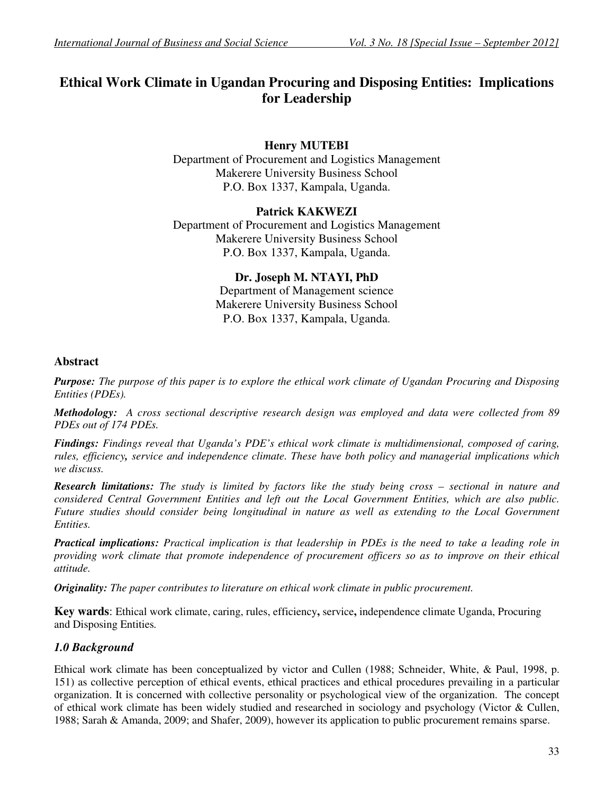# **Ethical Work Climate in Ugandan Procuring and Disposing Entities: Implications for Leadership**

# **Henry MUTEBI**

Department of Procurement and Logistics Management Makerere University Business School P.O. Box 1337, Kampala, Uganda.

# **Patrick KAKWEZI**

Department of Procurement and Logistics Management Makerere University Business School P.O. Box 1337, Kampala, Uganda.

# **Dr. Joseph M. NTAYI, PhD**

Department of Management science Makerere University Business School P.O. Box 1337, Kampala, Uganda.

# **Abstract**

*Purpose: The purpose of this paper is to explore the ethical work climate of Ugandan Procuring and Disposing Entities (PDEs).*

*Methodology: A cross sectional descriptive research design was employed and data were collected from 89 PDEs out of 174 PDEs.* 

*Findings: Findings reveal that Uganda's PDE's ethical work climate is multidimensional, composed of caring, rules, efficiency, service and independence climate. These have both policy and managerial implications which we discuss.*

*Research limitations: The study is limited by factors like the study being cross – sectional in nature and considered Central Government Entities and left out the Local Government Entities, which are also public. Future studies should consider being longitudinal in nature as well as extending to the Local Government Entities.*

*Practical implications: Practical implication is that leadership in PDEs is the need to take a leading role in providing work climate that promote independence of procurement officers so as to improve on their ethical attitude.*

*Originality: The paper contributes to literature on ethical work climate in public procurement.*

**Key wards**: Ethical work climate, caring, rules, efficiency**,** service**,** independence climate Uganda, Procuring and Disposing Entities*.* 

# *1.0 Background*

Ethical work climate has been conceptualized by victor and Cullen (1988; Schneider, White, & Paul, 1998, p. 151) as collective perception of ethical events, ethical practices and ethical procedures prevailing in a particular organization. It is concerned with collective personality or psychological view of the organization. The concept of ethical work climate has been widely studied and researched in sociology and psychology (Victor & Cullen, 1988; Sarah & Amanda, 2009; and Shafer, 2009), however its application to public procurement remains sparse.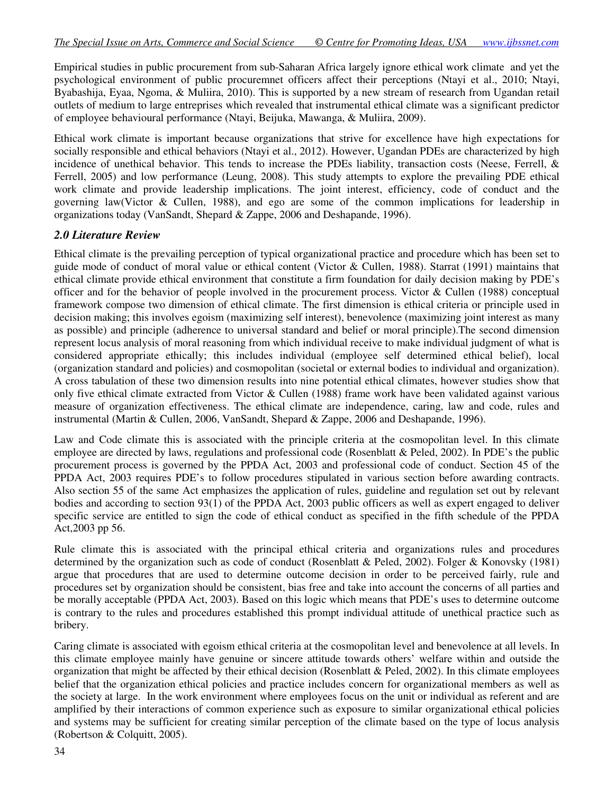Empirical studies in public procurement from sub-Saharan Africa largely ignore ethical work climate and yet the psychological environment of public procuremnet officers affect their perceptions (Ntayi et al., 2010; Ntayi, Byabashija, Eyaa, Ngoma, & Muliira, 2010). This is supported by a new stream of research from Ugandan retail outlets of medium to large entreprises which revealed that instrumental ethical climate was a significant predictor of employee behavioural performance (Ntayi, Beijuka, Mawanga, & Muliira, 2009).

Ethical work climate is important because organizations that strive for excellence have high expectations for socially responsible and ethical behaviors (Ntayi et al., 2012). However, Ugandan PDEs are characterized by high incidence of unethical behavior. This tends to increase the PDEs liability, transaction costs (Neese, Ferrell, & Ferrell, 2005) and low performance (Leung, 2008). This study attempts to explore the prevailing PDE ethical work climate and provide leadership implications. The joint interest, efficiency, code of conduct and the governing law(Victor & Cullen, 1988), and ego are some of the common implications for leadership in organizations today (VanSandt, Shepard & Zappe, 2006 and Deshapande, 1996).

## *2.0 Literature Review*

Ethical climate is the prevailing perception of typical organizational practice and procedure which has been set to guide mode of conduct of moral value or ethical content (Victor & Cullen, 1988). Starrat (1991) maintains that ethical climate provide ethical environment that constitute a firm foundation for daily decision making by PDE's officer and for the behavior of people involved in the procurement process. Victor & Cullen (1988) conceptual framework compose two dimension of ethical climate. The first dimension is ethical criteria or principle used in decision making; this involves egoism (maximizing self interest), benevolence (maximizing joint interest as many as possible) and principle (adherence to universal standard and belief or moral principle).The second dimension represent locus analysis of moral reasoning from which individual receive to make individual judgment of what is considered appropriate ethically; this includes individual (employee self determined ethical belief), local (organization standard and policies) and cosmopolitan (societal or external bodies to individual and organization). A cross tabulation of these two dimension results into nine potential ethical climates, however studies show that only five ethical climate extracted from Victor & Cullen (1988) frame work have been validated against various measure of organization effectiveness. The ethical climate are independence, caring, law and code, rules and instrumental (Martin & Cullen, 2006, VanSandt, Shepard & Zappe, 2006 and Deshapande, 1996).

Law and Code climate this is associated with the principle criteria at the cosmopolitan level. In this climate employee are directed by laws, regulations and professional code (Rosenblatt & Peled, 2002). In PDE's the public procurement process is governed by the PPDA Act, 2003 and professional code of conduct. Section 45 of the PPDA Act, 2003 requires PDE's to follow procedures stipulated in various section before awarding contracts. Also section 55 of the same Act emphasizes the application of rules, guideline and regulation set out by relevant bodies and according to section 93(1) of the PPDA Act, 2003 public officers as well as expert engaged to deliver specific service are entitled to sign the code of ethical conduct as specified in the fifth schedule of the PPDA Act,2003 pp 56.

Rule climate this is associated with the principal ethical criteria and organizations rules and procedures determined by the organization such as code of conduct (Rosenblatt & Peled, 2002). Folger & Konovsky (1981) argue that procedures that are used to determine outcome decision in order to be perceived fairly, rule and procedures set by organization should be consistent, bias free and take into account the concerns of all parties and be morally acceptable (PPDA Act, 2003). Based on this logic which means that PDE's uses to determine outcome is contrary to the rules and procedures established this prompt individual attitude of unethical practice such as bribery.

Caring climate is associated with egoism ethical criteria at the cosmopolitan level and benevolence at all levels. In this climate employee mainly have genuine or sincere attitude towards others' welfare within and outside the organization that might be affected by their ethical decision (Rosenblatt  $&$  Peled, 2002). In this climate employees belief that the organization ethical policies and practice includes concern for organizational members as well as the society at large. In the work environment where employees focus on the unit or individual as referent and are amplified by their interactions of common experience such as exposure to similar organizational ethical policies and systems may be sufficient for creating similar perception of the climate based on the type of locus analysis (Robertson & Colquitt, 2005).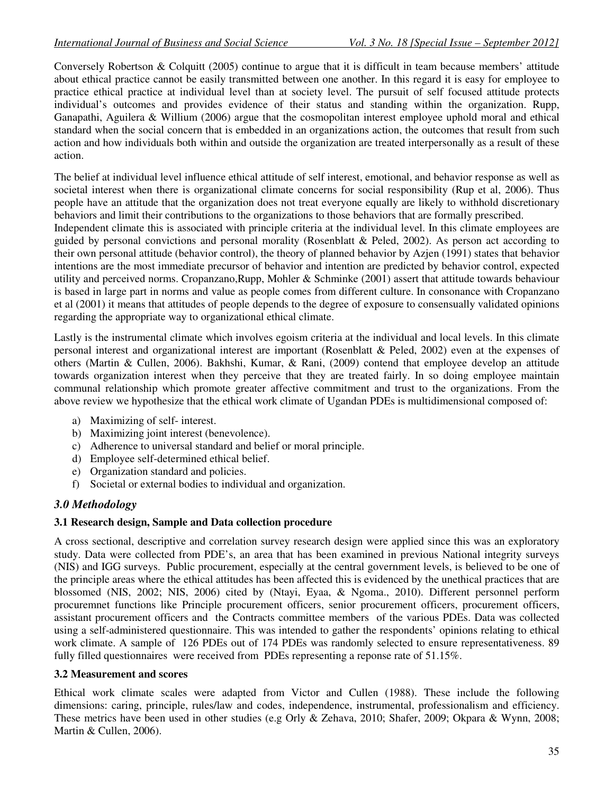Conversely Robertson & Colquitt (2005) continue to argue that it is difficult in team because members' attitude about ethical practice cannot be easily transmitted between one another. In this regard it is easy for employee to practice ethical practice at individual level than at society level. The pursuit of self focused attitude protects individual's outcomes and provides evidence of their status and standing within the organization. Rupp, Ganapathi, Aguilera & Willium (2006) argue that the cosmopolitan interest employee uphold moral and ethical standard when the social concern that is embedded in an organizations action, the outcomes that result from such action and how individuals both within and outside the organization are treated interpersonally as a result of these action.

The belief at individual level influence ethical attitude of self interest, emotional, and behavior response as well as societal interest when there is organizational climate concerns for social responsibility (Rup et al, 2006). Thus people have an attitude that the organization does not treat everyone equally are likely to withhold discretionary behaviors and limit their contributions to the organizations to those behaviors that are formally prescribed.

Independent climate this is associated with principle criteria at the individual level. In this climate employees are guided by personal convictions and personal morality (Rosenblatt & Peled, 2002). As person act according to their own personal attitude (behavior control), the theory of planned behavior by Azjen (1991) states that behavior intentions are the most immediate precursor of behavior and intention are predicted by behavior control, expected utility and perceived norms. Cropanzano,Rupp, Mohler & Schminke (2001) assert that attitude towards behaviour is based in large part in norms and value as people comes from different culture. In consonance with Cropanzano et al (2001) it means that attitudes of people depends to the degree of exposure to consensually validated opinions regarding the appropriate way to organizational ethical climate.

Lastly is the instrumental climate which involves egoism criteria at the individual and local levels. In this climate personal interest and organizational interest are important (Rosenblatt & Peled, 2002) even at the expenses of others (Martin & Cullen, 2006). Bakhshi, Kumar, & Rani, (2009) contend that employee develop an attitude towards organization interest when they perceive that they are treated fairly. In so doing employee maintain communal relationship which promote greater affective commitment and trust to the organizations. From the above review we hypothesize that the ethical work climate of Ugandan PDEs is multidimensional composed of:

- a) Maximizing of self- interest.
- b) Maximizing joint interest (benevolence).
- c) Adherence to universal standard and belief or moral principle.
- d) Employee self-determined ethical belief.
- e) Organization standard and policies.
- f) Societal or external bodies to individual and organization.

## *3.0 Methodology*

## **3.1 Research design, Sample and Data collection procedure**

A cross sectional, descriptive and correlation survey research design were applied since this was an exploratory study. Data were collected from PDE's, an area that has been examined in previous National integrity surveys (NIS) and IGG surveys. Public procurement, especially at the central government levels, is believed to be one of the principle areas where the ethical attitudes has been affected this is evidenced by the unethical practices that are blossomed (NIS, 2002; NIS, 2006) cited by (Ntayi, Eyaa, & Ngoma., 2010). Different personnel perform procuremnet functions like Principle procurement officers, senior procurement officers, procurement officers, assistant procurement officers and the Contracts committee members of the various PDEs. Data was collected using a self-administered questionnaire. This was intended to gather the respondents' opinions relating to ethical work climate. A sample of 126 PDEs out of 174 PDEs was randomly selected to ensure representativeness. 89 fully filled questionnaires were received from PDEs representing a reponse rate of 51.15%.

#### **3.2 Measurement and scores**

Ethical work climate scales were adapted from Victor and Cullen (1988). These include the following dimensions: caring, principle, rules/law and codes, independence, instrumental, professionalism and efficiency. These metrics have been used in other studies (e.g Orly & Zehava, 2010; Shafer, 2009; Okpara & Wynn, 2008; Martin & Cullen, 2006).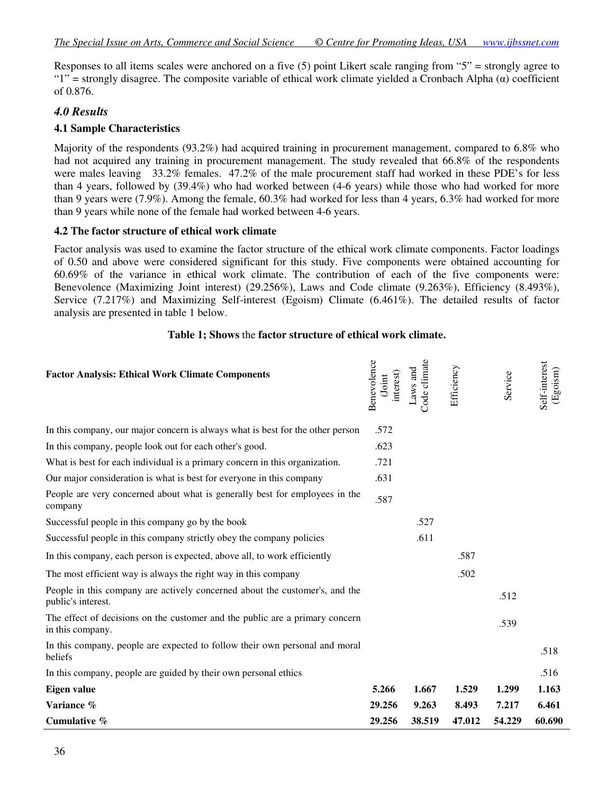Responses to all items scales were anchored on a five (5) point Likert scale ranging from "5" = strongly agree to " $1"$  = strongly disagree. The composite variable of ethical work climate yielded a Cronbach Alpha ( $\alpha$ ) coefficient of 0.876.

# *4.0 Results*

#### **4.1 Sample Characteristics**

Majority of the respondents (93.2%) had acquired training in procurement management, compared to 6.8% who had not acquired any training in procurement management. The study revealed that 66.8% of the respondents were males leaving 33.2% females. 47.2% of the male procurement staff had worked in these PDE's for less than 4 years, followed by (39.4%) who had worked between (4-6 years) while those who had worked for more than 9 years were (7.9%). Among the female, 60.3% had worked for less than 4 years, 6.3% had worked for more than 9 years while none of the female had worked between 4-6 years.

#### **4.2 The factor structure of ethical work climate**

Factor analysis was used to examine the factor structure of the ethical work climate components. Factor loadings of 0.50 and above were considered significant for this study. Five components were obtained accounting for 60.69% of the variance in ethical work climate. The contribution of each of the five components were: Benevolence (Maximizing Joint interest) (29.256%), Laws and Code climate (9.263%), Efficiency (8.493%), Service (7.217%) and Maximizing Self-interest (Egoism) Climate (6.461%). The detailed results of factor analysis are presented in table 1 below.

#### **Table 1; Shows** the **factor structure of ethical work climate.**

| <b>Factor Analysis: Ethical Work Climate Components</b>                                           | Benevolence<br>interest)<br>(Joint | Code climate<br>Laws and | Efficiency | Service | Self-interest<br>$(\mathrm{Egoism})$ |
|---------------------------------------------------------------------------------------------------|------------------------------------|--------------------------|------------|---------|--------------------------------------|
| In this company, our major concern is always what is best for the other person                    | .572                               |                          |            |         |                                      |
| In this company, people look out for each other's good.                                           | .623                               |                          |            |         |                                      |
| What is best for each individual is a primary concern in this organization.                       | .721                               |                          |            |         |                                      |
| Our major consideration is what is best for everyone in this company                              | .631                               |                          |            |         |                                      |
| People are very concerned about what is generally best for employees in the<br>company            | .587                               |                          |            |         |                                      |
| Successful people in this company go by the book                                                  |                                    | .527                     |            |         |                                      |
| Successful people in this company strictly obey the company policies                              |                                    | .611                     |            |         |                                      |
| In this company, each person is expected, above all, to work efficiently                          |                                    |                          | .587       |         |                                      |
| The most efficient way is always the right way in this company                                    |                                    |                          | .502       |         |                                      |
| People in this company are actively concerned about the customer's, and the<br>public's interest. |                                    |                          |            | .512    |                                      |
| The effect of decisions on the customer and the public are a primary concern<br>in this company.  |                                    |                          |            | .539    |                                      |
| In this company, people are expected to follow their own personal and moral<br>beliefs            |                                    |                          |            |         | .518                                 |
| In this company, people are guided by their own personal ethics                                   |                                    |                          |            |         | .516                                 |
| Eigen value                                                                                       | 5.266                              | 1.667                    | 1.529      | 1.299   | 1.163                                |
| Variance %                                                                                        | 29.256                             | 9.263                    | 8.493      | 7.217   | 6.461                                |
| Cumulative %                                                                                      | 29.256                             | 38.519                   | 47.012     | 54.229  | 60.690                               |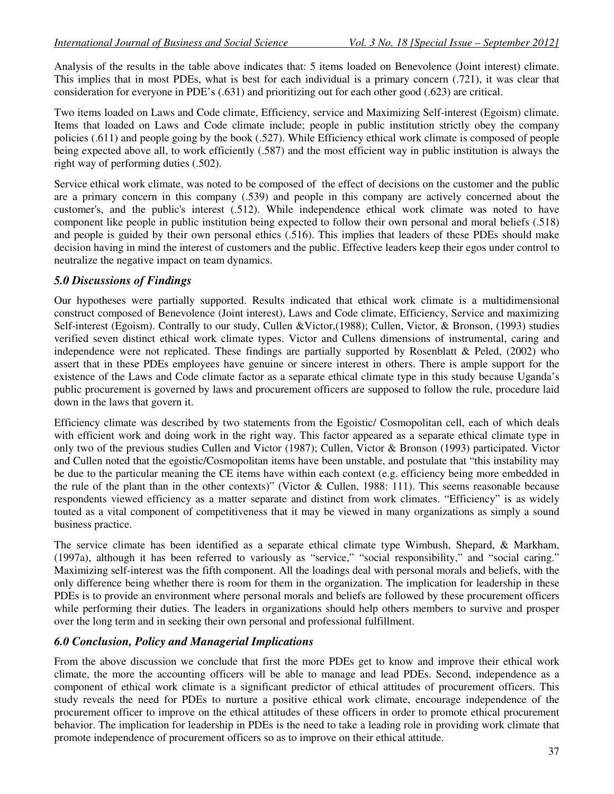Analysis of the results in the table above indicates that: 5 items loaded on Benevolence (Joint interest) climate. This implies that in most PDEs, what is best for each individual is a primary concern (.721), it was clear that consideration for everyone in PDE's (.631) and prioritizing out for each other good (.623) are critical.

Two items loaded on Laws and Code climate, Efficiency, service and Maximizing Self-interest (Egoism) climate. Items that loaded on Laws and Code climate include; people in public institution strictly obey the company policies (.611) and people going by the book (.527). While Efficiency ethical work climate is composed of people being expected above all, to work efficiently (.587) and the most efficient way in public institution is always the right way of performing duties (.502).

Service ethical work climate, was noted to be composed of the effect of decisions on the customer and the public are a primary concern in this company (.539) and people in this company are actively concerned about the customer's, and the public's interest (.512). While independence ethical work climate was noted to have component like people in public institution being expected to follow their own personal and moral beliefs (.518) and people is guided by their own personal ethics (.516). This implies that leaders of these PDEs should make decision having in mind the interest of customers and the public. Effective leaders keep their egos under control to neutralize the negative impact on team dynamics.

# *5.0 Discussions of Findings*

Our hypotheses were partially supported. Results indicated that ethical work climate is a multidimensional construct composed of Benevolence (Joint interest), Laws and Code climate, Efficiency, Service and maximizing Self-interest (Egoism). Contrally to our study, Cullen &Victor,(1988); Cullen, Victor, & Bronson, (1993) studies verified seven distinct ethical work climate types. Victor and Cullens dimensions of instrumental, caring and independence were not replicated. These findings are partially supported by Rosenblatt & Peled,  $(2002)$  who assert that in these PDEs employees have genuine or sincere interest in others. There is ample support for the existence of the Laws and Code climate factor as a separate ethical climate type in this study because Uganda's public procurement is governed by laws and procurement officers are supposed to follow the rule, procedure laid down in the laws that govern it.

Efficiency climate was described by two statements from the Egoistic/ Cosmopolitan cell, each of which deals with efficient work and doing work in the right way. This factor appeared as a separate ethical climate type in only two of the previous studies Cullen and Victor (1987); Cullen, Victor & Bronson (1993) participated. Victor and Cullen noted that the egoistic/Cosmopolitan items have been unstable, and postulate that "this instability may be due to the particular meaning the CE items have within each context (e.g. efficiency being more embedded in the rule of the plant than in the other contexts)" (Victor & Cullen, 1988: 111). This seems reasonable because respondents viewed efficiency as a matter separate and distinct from work climates. "Efficiency" is as widely touted as a vital component of competitiveness that it may be viewed in many organizations as simply a sound business practice.

The service climate has been identified as a separate ethical climate type Wimbush, Shepard, & Markham, (1997a), although it has been referred to variously as "service," "social responsibility," and "social caring." Maximizing self-interest was the fifth component. All the loadings deal with personal morals and beliefs, with the only difference being whether there is room for them in the organization. The implication for leadership in these PDEs is to provide an environment where personal morals and beliefs are followed by these procurement officers while performing their duties. The leaders in organizations should help others members to survive and prosper over the long term and in seeking their own personal and professional fulfillment.

## *6.0 Conclusion, Policy and Managerial Implications*

From the above discussion we conclude that first the more PDEs get to know and improve their ethical work climate, the more the accounting officers will be able to manage and lead PDEs. Second, independence as a component of ethical work climate is a significant predictor of ethical attitudes of procurement officers. This study reveals the need for PDEs to nurture a positive ethical work climate, encourage independence of the procurement officer to improve on the ethical attitudes of these officers in order to promote ethical procurement behavior. The implication for leadership in PDEs is the need to take a leading role in providing work climate that promote independence of procurement officers so as to improve on their ethical attitude.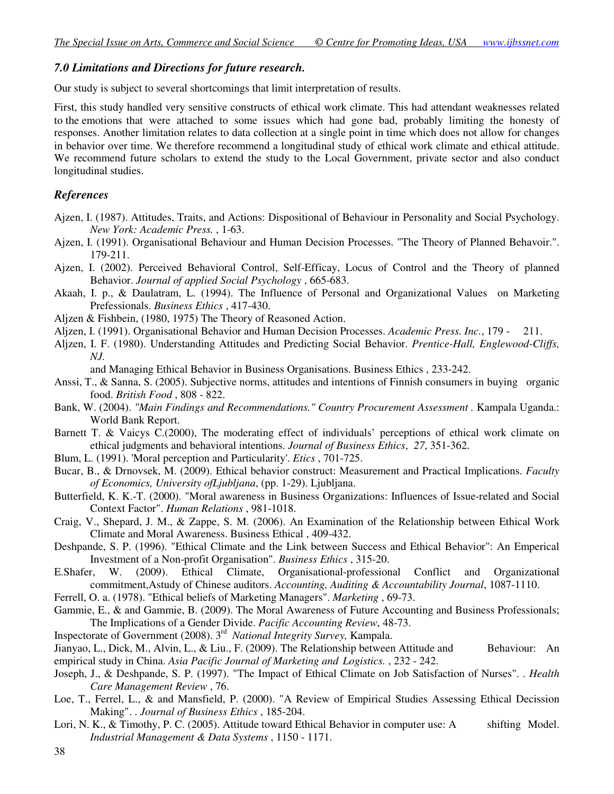## *7.0 Limitations and Directions for future research.*

Our study is subject to several shortcomings that limit interpretation of results.

First, this study handled very sensitive constructs of ethical work climate. This had attendant weaknesses related to the emotions that were attached to some issues which had gone bad, probably limiting the honesty of responses. Another limitation relates to data collection at a single point in time which does not allow for changes in behavior over time. We therefore recommend a longitudinal study of ethical work climate and ethical attitude. We recommend future scholars to extend the study to the Local Government, private sector and also conduct longitudinal studies.

#### *References*

- Ajzen, I. (1987). Attitudes, Traits, and Actions: Dispositional of Behaviour in Personality and Social Psychology. *New York: Academic Press.* , 1-63.
- Ajzen, I. (1991). Organisational Behaviour and Human Decision Processes. "The Theory of Planned Behavoir.". 179-211.
- Ajzen, I. (2002). Perceived Behavioral Control, Self-Efficay, Locus of Control and the Theory of planned Behavior. *Journal of applied Social Psychology* , 665-683.
- Akaah, I. p., & Daulatram, L. (1994). The Influence of Personal and Organizational Values on Marketing Prefessionals. *Business Ethics* , 417-430.
- Aljzen & Fishbein, (1980, 1975) The Theory of Reasoned Action.
- Aljzen, I. (1991). Organisational Behavior and Human Decision Processes. *Academic Press. Inc.*, 179 211.
- Aljzen, I. F. (1980). Understanding Attitudes and Predicting Social Behavior. *Prentice-Hall, Englewood-Cliffs, NJ.*

and Managing Ethical Behavior in Business Organisations. Business Ethics , 233-242.

- Anssi, T., & Sanna, S. (2005). Subjective norms, attitudes and intentions of Finnish consumers in buying organic food. *British Food* , 808 - 822.
- Bank, W. (2004). *"Main Findings and Recommendations." Country Procurement Assessment .* Kampala Uganda.: World Bank Report.
- Barnett T. & Vaicys C.(2000), The moderating effect of individuals' perceptions of ethical work climate on ethical judgments and behavioral intentions. *Journal of Business Ethics*, *27*, 351-362.
- Blum, L. (1991). 'Moral perception and Particularity'. *Etics* , 701-725.
- Bucar, B., & Drnovsek, M. (2009). Ethical behavior construct: Measurement and Practical Implications. *Faculty of Economics, University ofLjubljana*, (pp. 1-29). Ljubljana.
- Butterfield, K. K.-T. (2000). "Moral awareness in Business Organizations: Influences of Issue-related and Social Context Factor". *Human Relations* , 981-1018.
- Craig, V., Shepard, J. M., & Zappe, S. M. (2006). An Examination of the Relationship between Ethical Work Climate and Moral Awareness. Business Ethical , 409-432.
- Deshpande, S. P. (1996). "Ethical Climate and the Link between Success and Ethical Behavior": An Emperical Investment of a Non-profit Organisation". *Business Ethics* , 315-20.
- E.Shafer, W. (2009). Ethical Climate, Organisational-professional Conflict and Organizational commitment,Astudy of Chinese auditors. *Accounting, Auditing & Accountability Journal*, 1087-1110.
- Ferrell, O. a. (1978). "Ethical beliefs of Marketing Managers". *Marketing* , 69-73.
- Gammie, E., & and Gammie, B. (2009). The Moral Awareness of Future Accounting and Business Professionals; The Implications of a Gender Divide. *Pacific Accounting Review*, 48-73.
- Inspectorate of Government (2008). 3rd *National Integrity Survey,* Kampala.
- Jianyao, L., Dick, M., Alvin, L., & Liu., F. (2009). The Relationship between Attitude and Behaviour: An empirical study in China. *Asia Pacific Journal of Marketing and Logistics.* , 232 - 242.
- Joseph, J., & Deshpande, S. P. (1997). "The Impact of Ethical Climate on Job Satisfaction of Nurses". . *Health Care Management Review* , 76.
- Loe, T., Ferrel, L., & and Mansfield, P. (2000). "A Review of Empirical Studies Assessing Ethical Decission Making". . *Journal of Business Ethics* , 185-204.
- Lori, N. K., & Timothy, P. C. (2005). Attitude toward Ethical Behavior in computer use: A shifting Model. *Industrial Management & Data Systems* , 1150 - 1171.